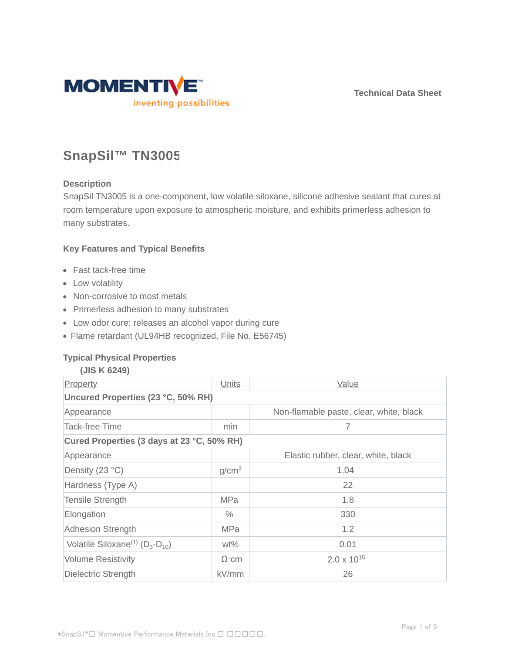**Technical Data Sheet**



# **SnapSil™ TN3005**

## **Description**

SnapSil TN3005 is a one-component, low volatile siloxane, silicone adhesive sealant that cures at room temperature upon exposure to atmospheric moisture, and exhibits primerless adhesion to many substrates.

## **Key Features and Typical Benefits**

- Fast tack-free time
- Low volatility
- Non-corrosive to most metals
- Primerless adhesion to many substrates
- Low odor cure: releases an alcohol vapor during cure
- Flame retardant (UL94HB recognized, File No. E56745)

## **Typical Physical Properties**

| (JIS K 6249)                                          |                   |                                         |  |  |  |
|-------------------------------------------------------|-------------------|-----------------------------------------|--|--|--|
| Property                                              | Units             | Value                                   |  |  |  |
| Uncured Properties (23 °C, 50% RH)                    |                   |                                         |  |  |  |
| Appearance                                            |                   | Non-flamable paste, clear, white, black |  |  |  |
| <b>Tack-free Time</b>                                 | min               | 7                                       |  |  |  |
| Cured Properties (3 days at 23 °C, 50% RH)            |                   |                                         |  |  |  |
| Appearance                                            |                   | Elastic rubber, clear, white, black     |  |  |  |
| Density (23 °C)                                       | g/cm <sup>3</sup> | 1.04                                    |  |  |  |
| Hardness (Type A)                                     |                   | 22                                      |  |  |  |
| <b>Tensile Strength</b>                               | <b>MPa</b>        | 1.8                                     |  |  |  |
| Elongation                                            | $\%$              | 330                                     |  |  |  |
| <b>Adhesion Strength</b>                              | <b>MPa</b>        | 1.2                                     |  |  |  |
| Volatile Siloxane <sup>(1)</sup> ( $D_3$ - $D_{10}$ ) | $wt\%$            | 0.01                                    |  |  |  |
| <b>Volume Resistivity</b>                             | $\Omega$ ·cm      | $2.0 \times 10^{15}$                    |  |  |  |
| Dielectric Strength                                   | kV/mm             | 26                                      |  |  |  |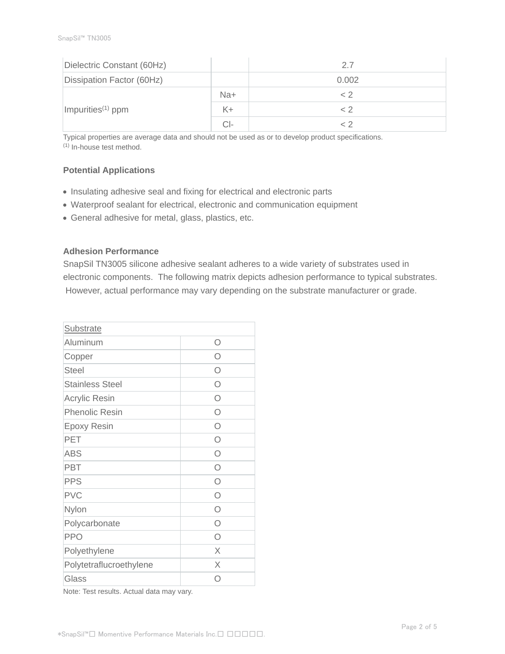| Dielectric Constant (60Hz)    |       | 2.7   |
|-------------------------------|-------|-------|
| Dissipation Factor (60Hz)     |       | 0.002 |
|                               | Na+   | < 2   |
| Impurities <sup>(1)</sup> ppm | $K +$ | ~ 2   |
|                               | CI-   |       |

Typical properties are average data and should not be used as or to develop product specifications. (1) In-house test method.

## **Potential Applications**

- Insulating adhesive seal and fixing for electrical and electronic parts
- Waterproof sealant for electrical, electronic and communication equipment
- General adhesive for metal, glass, plastics, etc.

## **Adhesion Performance**

SnapSil TN3005 silicone adhesive sealant adheres to a wide variety of substrates used in electronic components. The following matrix depicts adhesion performance to typical substrates. However, actual performance may vary depending on the substrate manufacturer or grade.

| Substrate               |            |
|-------------------------|------------|
| Aluminum                | Ω          |
| Copper                  | ∩          |
| <b>Steel</b>            | ∩          |
| <b>Stainless Steel</b>  | ∩          |
| <b>Acrylic Resin</b>    | Ω          |
| <b>Phenolic Resin</b>   | Ω          |
| <b>Epoxy Resin</b>      | $\bigcirc$ |
| PET                     | $\bigcirc$ |
| <b>ABS</b>              | $\bigcirc$ |
| <b>PBT</b>              | $\bigcirc$ |
| <b>PPS</b>              | $\bigcirc$ |
| <b>PVC</b>              | $\bigcirc$ |
| Nylon                   | Ω          |
| Polycarbonate           | Ω          |
| <b>PPO</b>              | ∩          |
| Polyethylene            | X          |
| Polytetraflucroethylene | X          |
| Glass                   | ∩          |

Note: Test results. Actual data may vary.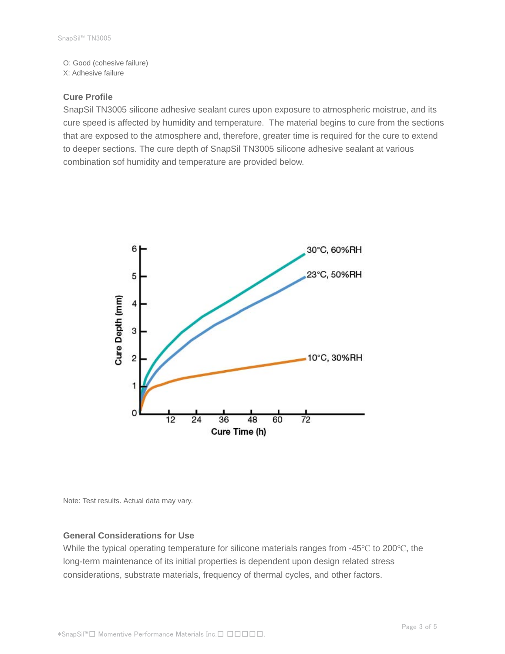O: Good (cohesive failure) X: Adhesive failure

#### **Cure Profile**

SnapSil TN3005 silicone adhesive sealant cures upon exposure to atmospheric moistrue, and its cure speed is affected by humidity and temperature. The material begins to cure from the sections that are exposed to the atmosphere and, therefore, greater time is required for the cure to extend to deeper sections. The cure depth of SnapSil TN3005 silicone adhesive sealant at various combination sof humidity and temperature are provided below.



Note: Test results. Actual data may vary.

#### **General Considerations for Use**

While the typical operating temperature for silicone materials ranges from -45℃ to 200℃, the long-term maintenance of its initial properties is dependent upon design related stress considerations, substrate materials, frequency of thermal cycles, and other factors.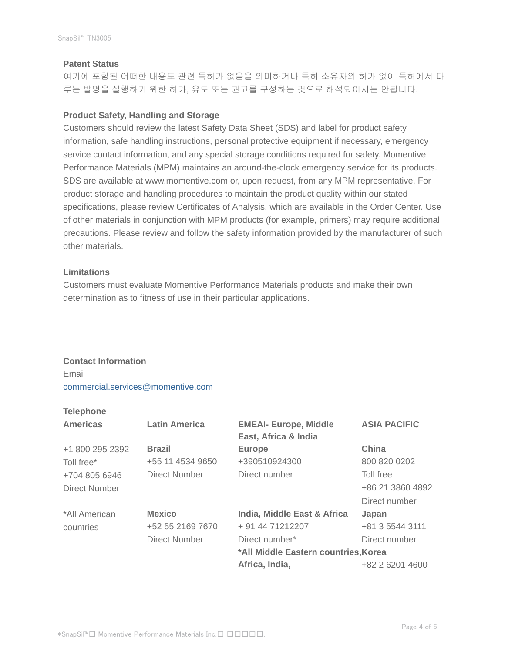#### **Patent Status**

여기에 포함된 어떠한 내용도 관련 특허가 없음을 의미하거나 특허 소유자의 허가 없이 특허에서 다 루는 발명을 실행하기 위한 허가, 유도 또는 권고를 구성하는 것으로 해석되어서는 안됩니다.

## **Product Safety, Handling and Storage**

Customers should review the latest Safety Data Sheet (SDS) and label for product safety information, safe handling instructions, personal protective equipment if necessary, emergency service contact information, and any special storage conditions required for safety. Momentive Performance Materials (MPM) maintains an around-the-clock emergency service for its products. SDS are available at www.momentive.com or, upon request, from any MPM representative. For product storage and handling procedures to maintain the product quality within our stated specifications, please review Certificates of Analysis, which are available in the Order Center. Use of other materials in conjunction with MPM products (for example, primers) may require additional precautions. Please review and follow the safety information provided by the manufacturer of such other materials.

#### **Limitations**

Customers must evaluate Momentive Performance Materials products and make their own determination as to fitness of use in their particular applications.

## **Contact Information** Email

commercial.services@momentive.com

# **Telephone**

| <b>Americas</b> | <b>Latin America</b> | <b>EMEAI- Europe, Middle</b><br>East, Africa & India | <b>ASIA PACIFIC</b> |
|-----------------|----------------------|------------------------------------------------------|---------------------|
| +1 800 295 2392 | <b>Brazil</b>        | <b>Europe</b>                                        | China               |
| Toll free*      | +55 11 4534 9650     | +390510924300                                        | 800 820 0202        |
| +704 805 6946   | <b>Direct Number</b> | Direct number                                        | Toll free           |
| Direct Number   |                      |                                                      | +86 21 3860 4892    |
|                 |                      |                                                      | Direct number       |
| *All American   | <b>Mexico</b>        | India, Middle East & Africa                          | Japan               |
| countries       | +52 55 2169 7670     | + 91 44 71212207                                     | +81 3 5544 3111     |
|                 | Direct Number        | Direct number*                                       | Direct number       |
|                 |                      | *All Middle Eastern countries, Korea                 |                     |
|                 |                      | Africa, India,                                       | +82 2 6201 4600     |